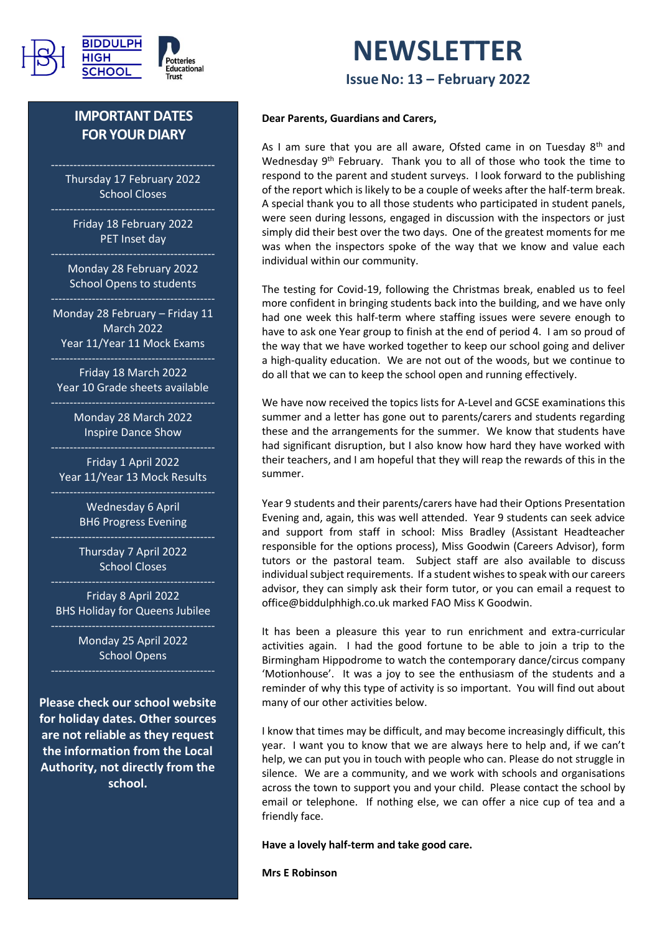

# **IMPORTANT DATES FOR YOUR DIARY**

Thursday 17 February 2022 School Closes

Friday 18 February 2022 PET Inset day

Monday 28 February 2022 School Opens to students

Monday 28 February – Friday 11 March 2022 Year 11/Year 11 Mock Exams

Friday 18 March 2022 Year 10 Grade sheets available

> Monday 28 March 2022 Inspire Dance Show

Friday 1 April 2022 Year 11/Year 13 Mock Results

> Wednesday 6 April BH6 Progress Evening

> Thursday 7 April 2022 School Closes

Friday 8 April 2022 BHS Holiday for Queens Jubilee

> Monday 25 April 2022 School Opens

**Please check our school website for holiday dates. Other sources are not reliable as they request the information from the Local Authority, not directly from the school.**

# **NEWSLETTER IssueNo: 13 – February 2022**

#### **Dear Parents, Guardians and Carers,**

As I am sure that you are all aware, Ofsted came in on Tuesday 8<sup>th</sup> and Wednesday 9<sup>th</sup> February. Thank you to all of those who took the time to respond to the parent and student surveys. I look forward to the publishing of the report which is likely to be a couple of weeks after the half-term break. A special thank you to all those students who participated in student panels, were seen during lessons, engaged in discussion with the inspectors or just simply did their best over the two days. One of the greatest moments for me was when the inspectors spoke of the way that we know and value each individual within our community.

The testing for Covid-19, following the Christmas break, enabled us to feel more confident in bringing students back into the building, and we have only had one week this half-term where staffing issues were severe enough to have to ask one Year group to finish at the end of period 4. I am so proud of the way that we have worked together to keep our school going and deliver a high-quality education. We are not out of the woods, but we continue to do all that we can to keep the school open and running effectively.

We have now received the topics lists for A-Level and GCSE examinations this summer and a letter has gone out to parents/carers and students regarding these and the arrangements for the summer. We know that students have had significant disruption, but I also know how hard they have worked with their teachers, and I am hopeful that they will reap the rewards of this in the summer.

Year 9 students and their parents/carers have had their Options Presentation Evening and, again, this was well attended. Year 9 students can seek advice and support from staff in school: Miss Bradley (Assistant Headteacher responsible for the options process), Miss Goodwin (Careers Advisor), form tutors or the pastoral team. Subject staff are also available to discuss individual subject requirements. If a student wishes to speak with our careers advisor, they can simply ask their form tutor, or you can email a request to office@biddulphhigh.co.uk marked FAO Miss K Goodwin.

It has been a pleasure this year to run enrichment and extra-curricular activities again. I had the good fortune to be able to join a trip to the Birmingham Hippodrome to watch the contemporary dance/circus company 'Motionhouse'. It was a joy to see the enthusiasm of the students and a reminder of why this type of activity is so important. You will find out about many of our other activities below.

I know that times may be difficult, and may become increasingly difficult, this year. I want you to know that we are always here to help and, if we can't help, we can put you in touch with people who can. Please do not struggle in silence. We are a community, and we work with schools and organisations across the town to support you and your child. Please contact the school by email or telephone. If nothing else, we can offer a nice cup of tea and a friendly face.

**Have a lovely half-term and take good care.**

**Mrs E Robinson**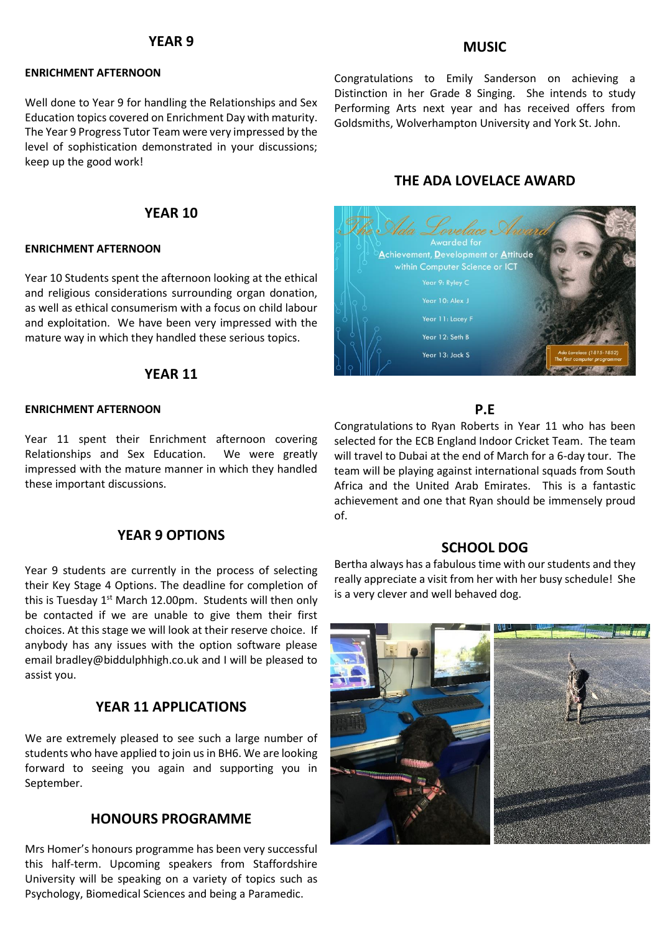#### **YEAR 9**

#### **ENRICHMENT AFTERNOON**

Well done to Year 9 for handling the Relationships and Sex Education topics covered on Enrichment Day with maturity. The Year 9 Progress Tutor Team were very impressed by the level of sophistication demonstrated in your discussions; keep up the good work!

## **YEAR 10**

#### **ENRICHMENT AFTERNOON**

Year 10 Students spent the afternoon looking at the ethical and religious considerations surrounding organ donation, as well as ethical consumerism with a focus on child labour and exploitation. We have been very impressed with the mature way in which they handled these serious topics.

### **YEAR 11**

#### **ENRICHMENT AFTERNOON**

Year 11 spent their Enrichment afternoon covering Relationships and Sex Education. We were greatly impressed with the mature manner in which they handled these important discussions.

#### **YEAR 9 OPTIONS**

Year 9 students are currently in the process of selecting their Key Stage 4 Options. The deadline for completion of this is Tuesday  $1<sup>st</sup>$  March 12.00pm. Students will then only be contacted if we are unable to give them their first choices. At this stage we will look at their reserve choice. If anybody has any issues with the option software please email bradley@biddulphhigh.co.uk and I will be pleased to assist you.

### **YEAR 11 APPLICATIONS**

We are extremely pleased to see such a large number of students who have applied to join us in BH6. We are looking forward to seeing you again and supporting you in September.

## **HONOURS PROGRAMME**

Mrs Homer's honours programme has been very successful this half-term. Upcoming speakers from Staffordshire University will be speaking on a variety of topics such as Psychology, Biomedical Sciences and being a Paramedic.

### **MUSIC**

Congratulations to Emily Sanderson on achieving a Distinction in her Grade 8 Singing. She intends to study Performing Arts next year and has received offers from Goldsmiths, Wolverhampton University and York St. John.

#### **THE ADA LOVELACE AWARD**



## **P.E**

Congratulations to Ryan Roberts in Year 11 who has been selected for the ECB England Indoor Cricket Team. The team will travel to Dubai at the end of March for a 6-day tour. The team will be playing against international squads from South Africa and the United Arab Emirates. This is a fantastic achievement and one that Ryan should be immensely proud of.

#### **SCHOOL DOG**

Bertha always has a fabulous time with our students and they really appreciate a visit from her with her busy schedule! She is a very clever and well behaved dog.

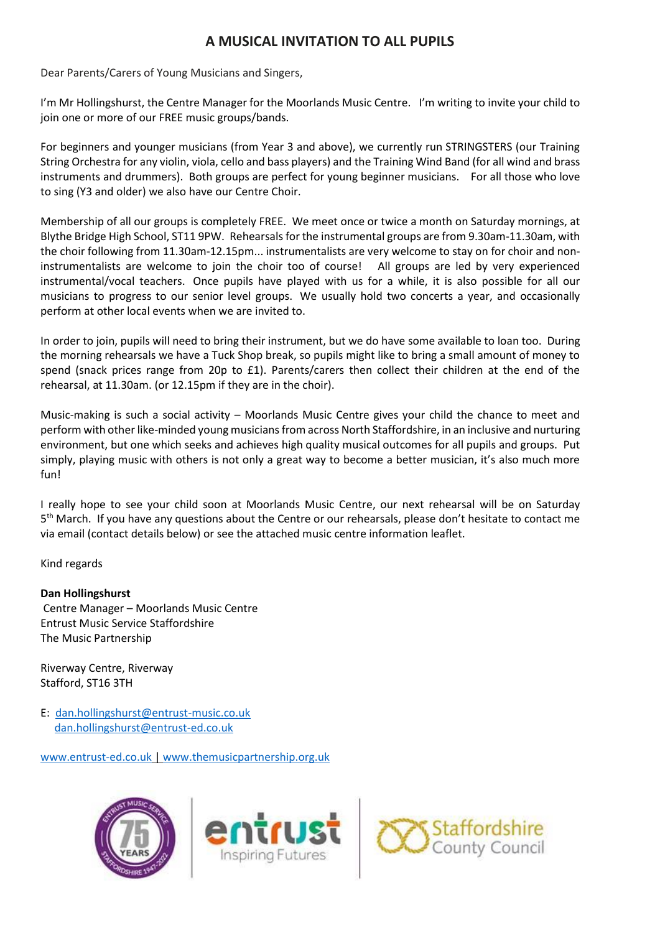# **A MUSICAL INVITATION TO ALL PUPILS**

Dear Parents/Carers of Young Musicians and Singers,

I'm Mr Hollingshurst, the Centre Manager for the Moorlands Music Centre. I'm writing to invite your child to join one or more of our FREE music groups/bands.

For beginners and younger musicians (from Year 3 and above), we currently run STRINGSTERS (our Training String Orchestra for any violin, viola, cello and bass players) and the Training Wind Band (for all wind and brass instruments and drummers). Both groups are perfect for young beginner musicians. For all those who love to sing (Y3 and older) we also have our Centre Choir.

Membership of all our groups is completely FREE. We meet once or twice a month on Saturday mornings, at Blythe Bridge High School, ST11 9PW. Rehearsals for the instrumental groups are from 9.30am-11.30am, with the choir following from 11.30am-12.15pm... instrumentalists are very welcome to stay on for choir and noninstrumentalists are welcome to join the choir too of course! All groups are led by very experienced instrumental/vocal teachers. Once pupils have played with us for a while, it is also possible for all our musicians to progress to our senior level groups. We usually hold two concerts a year, and occasionally perform at other local events when we are invited to.

In order to join, pupils will need to bring their instrument, but we do have some available to loan too. During the morning rehearsals we have a Tuck Shop break, so pupils might like to bring a small amount of money to spend (snack prices range from 20p to £1). Parents/carers then collect their children at the end of the rehearsal, at 11.30am. (or 12.15pm if they are in the choir).

Music-making is such a social activity – Moorlands Music Centre gives your child the chance to meet and perform with other like-minded young musicians from across North Staffordshire, in an inclusive and nurturing environment, but one which seeks and achieves high quality musical outcomes for all pupils and groups. Put simply, playing music with others is not only a great way to become a better musician, it's also much more fun!

I really hope to see your child soon at Moorlands Music Centre, our next rehearsal will be on Saturday 5<sup>th</sup> March. If you have any questions about the Centre or our rehearsals, please don't hesitate to contact me via email (contact details below) or see the attached music centre information leaflet.

Kind regards

#### **Dan Hollingshurst**

Centre Manager – Moorlands Music Centre Entrust Music Service Staffordshire The Music Partnership

Riverway Centre, Riverway Stafford, ST16 3TH

E: [dan.hollingshurst@entrust-music.co.uk](mailto:dan.hollingshurst@entrust-music.co.uk) [dan.hollingshurst@entrust-ed.co.uk](mailto:dan.hollingshurst@entrust-ed.co.uk)

[www.entrust-ed.co.uk](http://www.entrust-ed.co.uk/) | [www.themusicpartnership.org.uk](http://www.themusicpartnership.org.uk/)





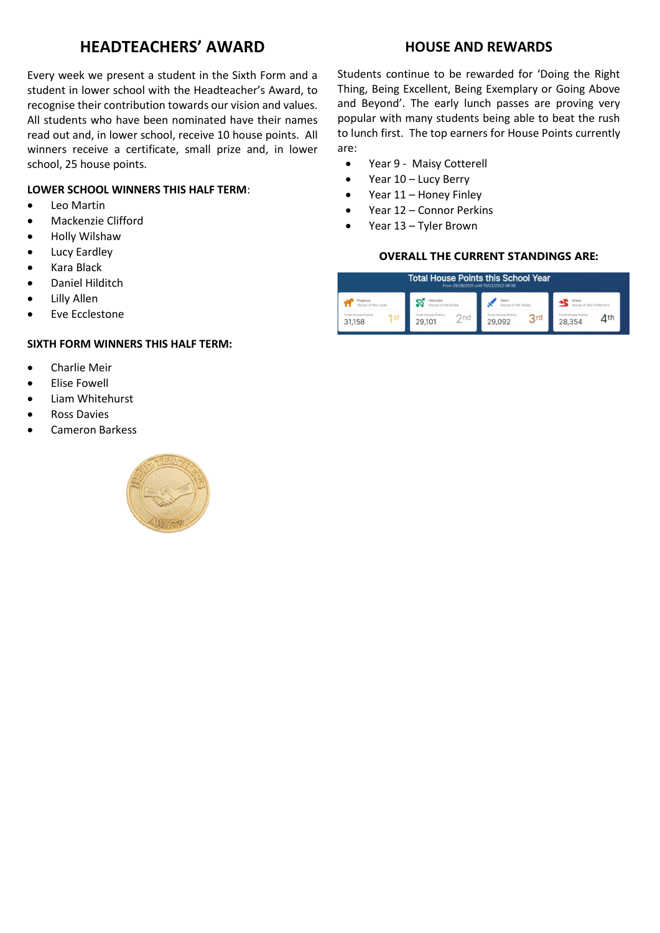# **HEADTEACHERS' AWARD**

Every week we present a student in the Sixth Form and a student in lower school with the Headteacher's Award, to recognise their contribution towards our vision and values. All students who have been nominated have their names read out and, in lower school, receive 10 house points. All winners receive a certificate, small prize and, in lower school, 25 house points.

#### **LOWER SCHOOL WINNERS THIS HALF TERM**:

- Leo Martin
- Mackenzie Clifford
- Holly Wilshaw
- Lucy Eardley
- Kara Black
- Daniel Hilditch
- Lilly Allen
- Eve Ecclestone

#### **SIXTH FORM WINNERS THIS HALF TERM:**

- Charlie Meir
- Elise Fowell
- Liam Whitehurst
- Ross Davies
- Cameron Barkess



# **HOUSE AND REWARDS**

Students continue to be rewarded for 'Doing the Right Thing, Being Excellent, Being Exemplary or Going Above and Beyond'. The early lunch passes are proving very popular with many students being able to beat the rush to lunch first. The top earners for House Points currently are:

- Year 9 Maisy Cotterell
- Year 10 Lucy Berry
- $\bullet$  Year 11 Honey Finley
- Year 12 Connor Perkins
- Year 13 Tyler Brown

#### **OVERALL THE CURRENT STANDINGS ARE:**

| <b>Total House Points this School Year</b><br>From 29/08/2021 until 15/02/2022 08:38 |                           |                           |                    |  |
|--------------------------------------------------------------------------------------|---------------------------|---------------------------|--------------------|--|
| YOQ351/S                                                                             | ercules                   | <b>Drion</b>              |                    |  |
| House of the Loyal                                                                   | House of the Braye        | House of the Sharp        |                    |  |
| <b>Total House Points</b>                                                            | <b>Total House Points</b> | <b>Total House Points</b> | Intal House Points |  |
| 1st                                                                                  | 2nd                       | 3rd                       | $\varDelta$ th     |  |
| 31,158                                                                               | 29,101                    | 29.092                    | 28,354             |  |